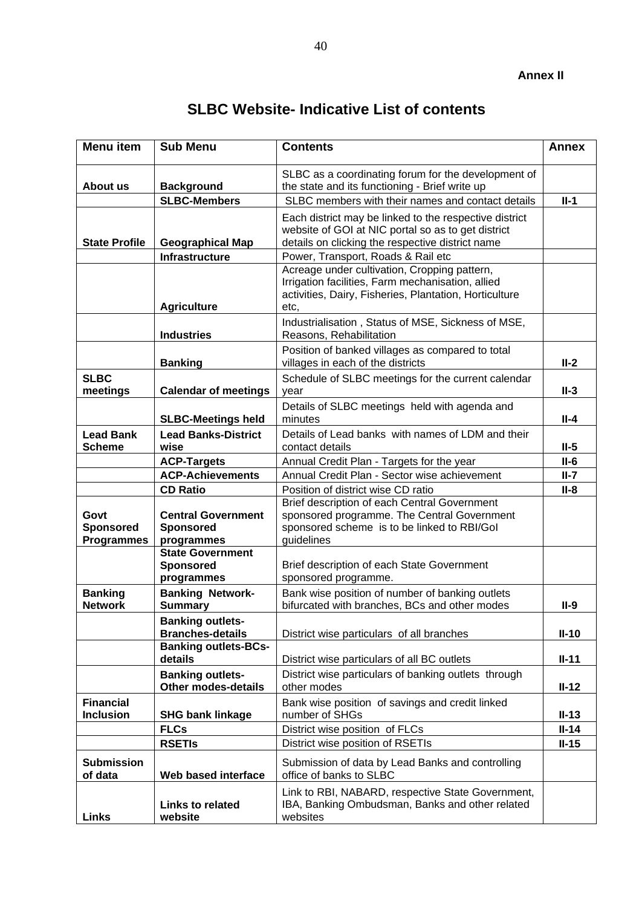| <b>SLBC Website-Indicative List of contents</b> |  |  |
|-------------------------------------------------|--|--|
|-------------------------------------------------|--|--|

| <b>Menu item</b>                              | <b>Sub Menu</b>                                             | <b>Contents</b>                                                                                                                                                     | <b>Annex</b> |
|-----------------------------------------------|-------------------------------------------------------------|---------------------------------------------------------------------------------------------------------------------------------------------------------------------|--------------|
| About us                                      | <b>Background</b>                                           | SLBC as a coordinating forum for the development of<br>the state and its functioning - Brief write up                                                               |              |
|                                               | <b>SLBC-Members</b>                                         | SLBC members with their names and contact details                                                                                                                   | $II-1$       |
| <b>State Profile</b>                          | <b>Geographical Map</b>                                     | Each district may be linked to the respective district<br>website of GOI at NIC portal so as to get district<br>details on clicking the respective district name    |              |
|                                               | <b>Infrastructure</b>                                       | Power, Transport, Roads & Rail etc                                                                                                                                  |              |
|                                               | <b>Agriculture</b>                                          | Acreage under cultivation, Cropping pattern,<br>Irrigation facilities, Farm mechanisation, allied<br>activities, Dairy, Fisheries, Plantation, Horticulture<br>etc, |              |
|                                               | <b>Industries</b>                                           | Industrialisation, Status of MSE, Sickness of MSE,<br>Reasons, Rehabilitation                                                                                       |              |
|                                               | <b>Banking</b>                                              | Position of banked villages as compared to total<br>villages in each of the districts                                                                               | $II-2$       |
| <b>SLBC</b><br>meetings                       | <b>Calendar of meetings</b>                                 | Schedule of SLBC meetings for the current calendar<br>year                                                                                                          | $II-3$       |
|                                               | <b>SLBC-Meetings held</b>                                   | Details of SLBC meetings held with agenda and<br>minutes                                                                                                            | <b>II-4</b>  |
| <b>Lead Bank</b><br><b>Scheme</b>             | <b>Lead Banks-District</b><br>wise                          | Details of Lead banks with names of LDM and their<br>contact details                                                                                                | $II-5$       |
|                                               | <b>ACP-Targets</b>                                          | Annual Credit Plan - Targets for the year                                                                                                                           | $II-6$       |
|                                               | <b>ACP-Achievements</b>                                     | Annual Credit Plan - Sector wise achievement                                                                                                                        | $II-7$       |
|                                               | <b>CD Ratio</b>                                             | Position of district wise CD ratio                                                                                                                                  | <b>II-8</b>  |
| Govt<br><b>Sponsored</b><br><b>Programmes</b> | <b>Central Government</b><br><b>Sponsored</b><br>programmes | Brief description of each Central Government<br>sponsored programme. The Central Government<br>sponsored scheme is to be linked to RBI/GoI<br>guidelines            |              |
|                                               | <b>State Government</b><br><b>Sponsored</b><br>programmes   | Brief description of each State Government<br>sponsored programme.                                                                                                  |              |
| <b>Banking</b><br><b>Network</b>              | <b>Banking Network-</b><br><b>Summary</b>                   | Bank wise position of number of banking outlets<br>bifurcated with branches, BCs and other modes                                                                    | $II-9$       |
|                                               | <b>Banking outlets-</b><br><b>Branches-details</b>          | District wise particulars of all branches                                                                                                                           | $II-10$      |
|                                               | <b>Banking outlets-BCs-</b><br>details                      | District wise particulars of all BC outlets                                                                                                                         | $II-11$      |
|                                               | <b>Banking outlets-</b>                                     | District wise particulars of banking outlets through                                                                                                                |              |
|                                               | <b>Other modes-details</b>                                  | other modes                                                                                                                                                         | $II-12$      |
| <b>Financial</b>                              |                                                             | Bank wise position of savings and credit linked                                                                                                                     |              |
| <b>Inclusion</b>                              | <b>SHG bank linkage</b>                                     | number of SHGs                                                                                                                                                      | $II-13$      |
|                                               | <b>FLCs</b>                                                 | District wise position of FLCs                                                                                                                                      | $II-14$      |
|                                               | <b>RSETIS</b>                                               | District wise position of RSETIs                                                                                                                                    | $II-15$      |
| <b>Submission</b><br>of data                  | Web based interface                                         | Submission of data by Lead Banks and controlling<br>office of banks to SLBC                                                                                         |              |
| Links                                         | <b>Links to related</b><br>website                          | Link to RBI, NABARD, respective State Government,<br>IBA, Banking Ombudsman, Banks and other related<br>websites                                                    |              |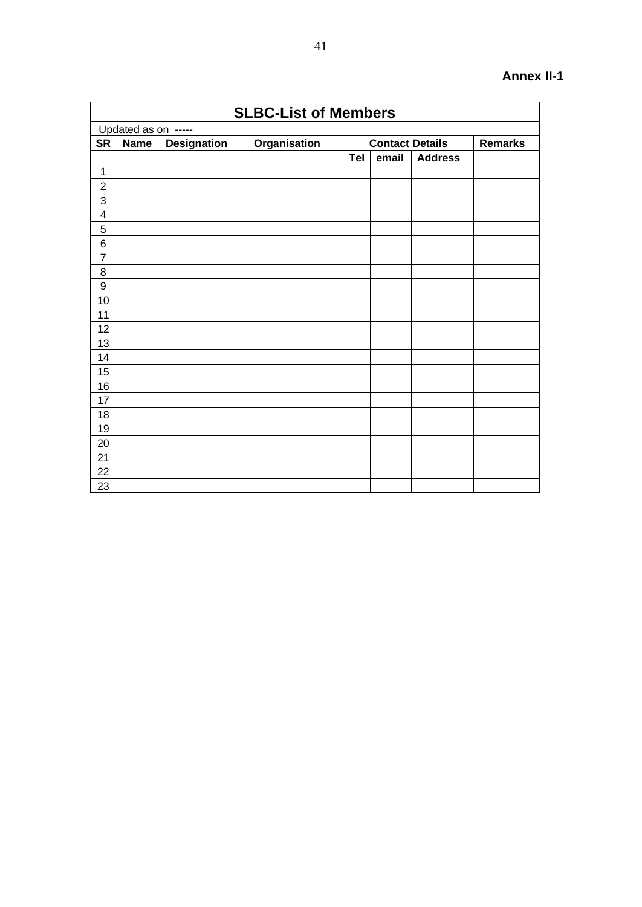|                         |                     |                    | <b>SLBC-List of Members</b> |     |                        |                |                |
|-------------------------|---------------------|--------------------|-----------------------------|-----|------------------------|----------------|----------------|
|                         | Updated as on ----- |                    |                             |     |                        |                |                |
| <b>SR</b>               | <b>Name</b>         | <b>Designation</b> | Organisation                |     | <b>Contact Details</b> |                | <b>Remarks</b> |
|                         |                     |                    |                             | Tel | email                  | <b>Address</b> |                |
| 1                       |                     |                    |                             |     |                        |                |                |
| $\overline{c}$          |                     |                    |                             |     |                        |                |                |
| 3                       |                     |                    |                             |     |                        |                |                |
| $\overline{\mathbf{4}}$ |                     |                    |                             |     |                        |                |                |
| 5                       |                     |                    |                             |     |                        |                |                |
| $6\phantom{1}6$         |                     |                    |                             |     |                        |                |                |
| $\overline{7}$          |                     |                    |                             |     |                        |                |                |
| 8                       |                     |                    |                             |     |                        |                |                |
| $\boldsymbol{9}$        |                     |                    |                             |     |                        |                |                |
| 10                      |                     |                    |                             |     |                        |                |                |
| 11                      |                     |                    |                             |     |                        |                |                |
| 12                      |                     |                    |                             |     |                        |                |                |
| 13                      |                     |                    |                             |     |                        |                |                |
| 14                      |                     |                    |                             |     |                        |                |                |
| 15                      |                     |                    |                             |     |                        |                |                |
| 16                      |                     |                    |                             |     |                        |                |                |
| 17                      |                     |                    |                             |     |                        |                |                |
| 18                      |                     |                    |                             |     |                        |                |                |
| 19                      |                     |                    |                             |     |                        |                |                |
| 20                      |                     |                    |                             |     |                        |                |                |
| 21                      |                     |                    |                             |     |                        |                |                |
| 22                      |                     |                    |                             |     |                        |                |                |
| 23                      |                     |                    |                             |     |                        |                |                |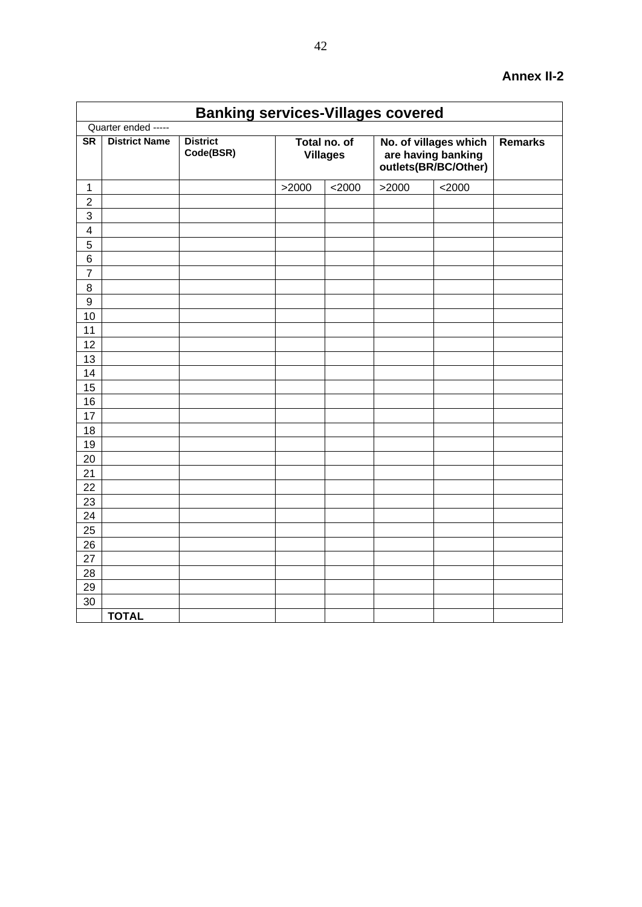|                         | <b>Banking services-Villages covered</b> |                              |                                 |          |                                                                     |                |  |  |  |  |  |  |
|-------------------------|------------------------------------------|------------------------------|---------------------------------|----------|---------------------------------------------------------------------|----------------|--|--|--|--|--|--|
|                         | Quarter ended -----                      |                              |                                 |          |                                                                     |                |  |  |  |  |  |  |
| S <sub>R</sub>          | <b>District Name</b>                     | <b>District</b><br>Code(BSR) | Total no. of<br><b>Villages</b> |          | No. of villages which<br>are having banking<br>outlets(BR/BC/Other) | <b>Remarks</b> |  |  |  |  |  |  |
| 1                       |                                          |                              | >2000                           | $<$ 2000 | >2000                                                               | $<$ 2000       |  |  |  |  |  |  |
| $\overline{2}$          |                                          |                              |                                 |          |                                                                     |                |  |  |  |  |  |  |
| 3                       |                                          |                              |                                 |          |                                                                     |                |  |  |  |  |  |  |
| $\overline{\mathbf{4}}$ |                                          |                              |                                 |          |                                                                     |                |  |  |  |  |  |  |
| 5                       |                                          |                              |                                 |          |                                                                     |                |  |  |  |  |  |  |
| 6                       |                                          |                              |                                 |          |                                                                     |                |  |  |  |  |  |  |
| $\overline{7}$          |                                          |                              |                                 |          |                                                                     |                |  |  |  |  |  |  |
| 8                       |                                          |                              |                                 |          |                                                                     |                |  |  |  |  |  |  |
| 9                       |                                          |                              |                                 |          |                                                                     |                |  |  |  |  |  |  |
| 10                      |                                          |                              |                                 |          |                                                                     |                |  |  |  |  |  |  |
| 11                      |                                          |                              |                                 |          |                                                                     |                |  |  |  |  |  |  |
| 12                      |                                          |                              |                                 |          |                                                                     |                |  |  |  |  |  |  |
| 13<br>14                |                                          |                              |                                 |          |                                                                     |                |  |  |  |  |  |  |
| 15                      |                                          |                              |                                 |          |                                                                     |                |  |  |  |  |  |  |
| 16                      |                                          |                              |                                 |          |                                                                     |                |  |  |  |  |  |  |
| 17                      |                                          |                              |                                 |          |                                                                     |                |  |  |  |  |  |  |
| 18                      |                                          |                              |                                 |          |                                                                     |                |  |  |  |  |  |  |
| 19                      |                                          |                              |                                 |          |                                                                     |                |  |  |  |  |  |  |
| 20                      |                                          |                              |                                 |          |                                                                     |                |  |  |  |  |  |  |
| 21                      |                                          |                              |                                 |          |                                                                     |                |  |  |  |  |  |  |
| 22                      |                                          |                              |                                 |          |                                                                     |                |  |  |  |  |  |  |
| 23                      |                                          |                              |                                 |          |                                                                     |                |  |  |  |  |  |  |
| 24                      |                                          |                              |                                 |          |                                                                     |                |  |  |  |  |  |  |
| 25                      |                                          |                              |                                 |          |                                                                     |                |  |  |  |  |  |  |
| 26                      |                                          |                              |                                 |          |                                                                     |                |  |  |  |  |  |  |
| 27                      |                                          |                              |                                 |          |                                                                     |                |  |  |  |  |  |  |
| 28                      |                                          |                              |                                 |          |                                                                     |                |  |  |  |  |  |  |
| 29                      |                                          |                              |                                 |          |                                                                     |                |  |  |  |  |  |  |
| 30                      |                                          |                              |                                 |          |                                                                     |                |  |  |  |  |  |  |
|                         | <b>TOTAL</b>                             |                              |                                 |          |                                                                     |                |  |  |  |  |  |  |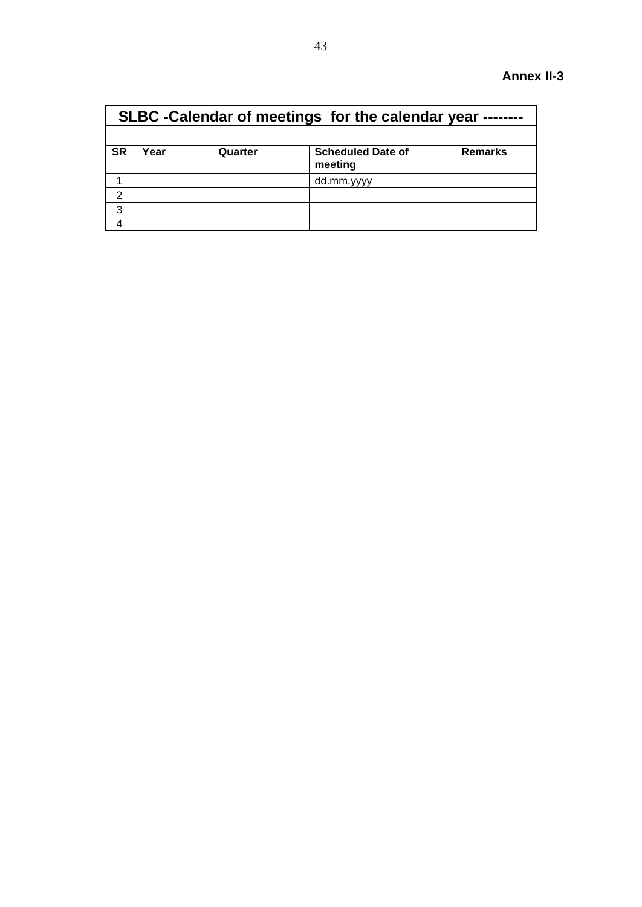|               |      |         | SLBC - Calendar of meetings for the calendar year |                |
|---------------|------|---------|---------------------------------------------------|----------------|
|               |      |         |                                                   |                |
| <b>SR</b>     | Year | Quarter | <b>Scheduled Date of</b><br>meeting               | <b>Remarks</b> |
|               |      |         | dd.mm.yyyy                                        |                |
| $\mathcal{P}$ |      |         |                                                   |                |
| 3             |      |         |                                                   |                |
|               |      |         |                                                   |                |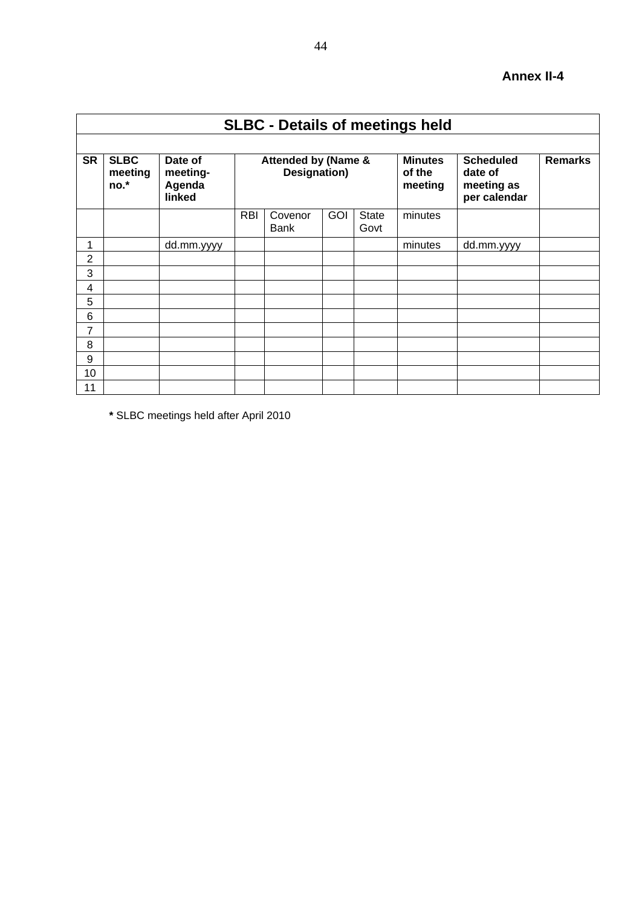|                | <b>SLBC - Details of meetings held</b> |                                         |            |                                     |     |                      |                                     |                                                           |                |  |  |  |
|----------------|----------------------------------------|-----------------------------------------|------------|-------------------------------------|-----|----------------------|-------------------------------------|-----------------------------------------------------------|----------------|--|--|--|
| <b>SR</b>      | <b>SLBC</b><br>meeting<br>$no.*$       | Date of<br>meeting-<br>Agenda<br>linked |            | Attended by (Name &<br>Designation) |     |                      | <b>Minutes</b><br>of the<br>meeting | <b>Scheduled</b><br>date of<br>meeting as<br>per calendar | <b>Remarks</b> |  |  |  |
|                |                                        |                                         | <b>RBI</b> | Covenor<br><b>Bank</b>              | GOI | <b>State</b><br>Govt | minutes                             |                                                           |                |  |  |  |
| 1              |                                        | dd.mm.yyyy                              |            |                                     |     |                      | minutes                             | dd.mm.yyyy                                                |                |  |  |  |
| $\overline{2}$ |                                        |                                         |            |                                     |     |                      |                                     |                                                           |                |  |  |  |
| 3              |                                        |                                         |            |                                     |     |                      |                                     |                                                           |                |  |  |  |
| 4              |                                        |                                         |            |                                     |     |                      |                                     |                                                           |                |  |  |  |
| 5              |                                        |                                         |            |                                     |     |                      |                                     |                                                           |                |  |  |  |
| 6              |                                        |                                         |            |                                     |     |                      |                                     |                                                           |                |  |  |  |
| 7              |                                        |                                         |            |                                     |     |                      |                                     |                                                           |                |  |  |  |
| 8              |                                        |                                         |            |                                     |     |                      |                                     |                                                           |                |  |  |  |
| 9              |                                        |                                         |            |                                     |     |                      |                                     |                                                           |                |  |  |  |
| 10             |                                        |                                         |            |                                     |     |                      |                                     |                                                           |                |  |  |  |
| 11             |                                        |                                         |            |                                     |     |                      |                                     |                                                           |                |  |  |  |

**\*** SLBC meetings held after April 2010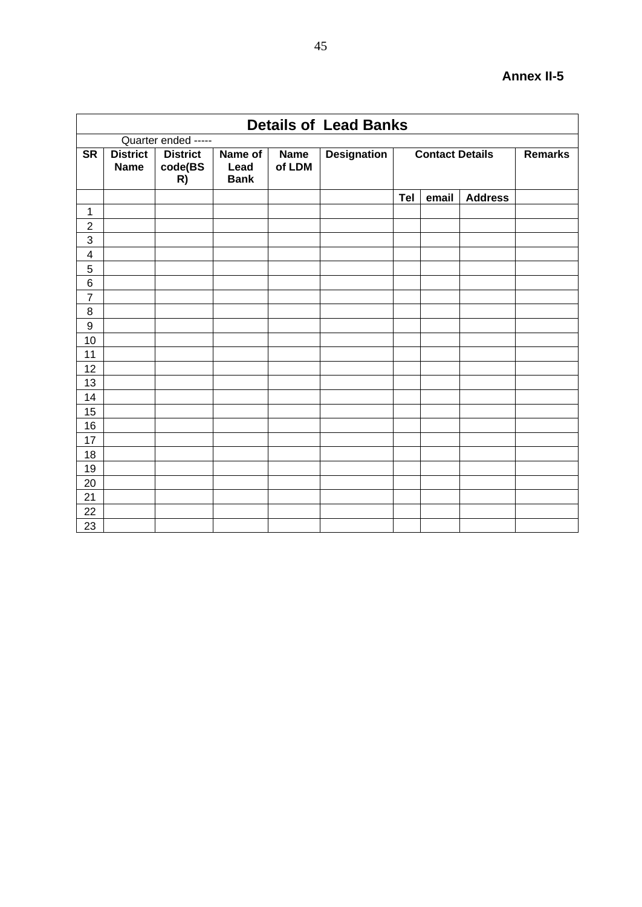|                         |                                |                                  |                                |                       | <b>Details of Lead Banks</b> |     |                        |                |                |
|-------------------------|--------------------------------|----------------------------------|--------------------------------|-----------------------|------------------------------|-----|------------------------|----------------|----------------|
|                         |                                | Quarter ended -----              |                                |                       |                              |     |                        |                |                |
| <b>SR</b>               | <b>District</b><br><b>Name</b> | <b>District</b><br>code(BS<br>R) | Name of<br>Lead<br><b>Bank</b> | <b>Name</b><br>of LDM | <b>Designation</b>           |     | <b>Contact Details</b> |                | <b>Remarks</b> |
|                         |                                |                                  |                                |                       |                              | Tel | email                  | <b>Address</b> |                |
| 1                       |                                |                                  |                                |                       |                              |     |                        |                |                |
| $\overline{c}$          |                                |                                  |                                |                       |                              |     |                        |                |                |
| $\overline{3}$          |                                |                                  |                                |                       |                              |     |                        |                |                |
| $\overline{\mathbf{4}}$ |                                |                                  |                                |                       |                              |     |                        |                |                |
| 5                       |                                |                                  |                                |                       |                              |     |                        |                |                |
| 6                       |                                |                                  |                                |                       |                              |     |                        |                |                |
| $\overline{7}$          |                                |                                  |                                |                       |                              |     |                        |                |                |
| $\bf 8$                 |                                |                                  |                                |                       |                              |     |                        |                |                |
| $\overline{9}$          |                                |                                  |                                |                       |                              |     |                        |                |                |
| 10                      |                                |                                  |                                |                       |                              |     |                        |                |                |
| 11                      |                                |                                  |                                |                       |                              |     |                        |                |                |
| 12                      |                                |                                  |                                |                       |                              |     |                        |                |                |
| 13                      |                                |                                  |                                |                       |                              |     |                        |                |                |
| 14                      |                                |                                  |                                |                       |                              |     |                        |                |                |
| 15                      |                                |                                  |                                |                       |                              |     |                        |                |                |
| 16                      |                                |                                  |                                |                       |                              |     |                        |                |                |
| 17                      |                                |                                  |                                |                       |                              |     |                        |                |                |
| 18                      |                                |                                  |                                |                       |                              |     |                        |                |                |
| 19                      |                                |                                  |                                |                       |                              |     |                        |                |                |
| 20                      |                                |                                  |                                |                       |                              |     |                        |                |                |
| 21                      |                                |                                  |                                |                       |                              |     |                        |                |                |
| 22                      |                                |                                  |                                |                       |                              |     |                        |                |                |
| 23                      |                                |                                  |                                |                       |                              |     |                        |                |                |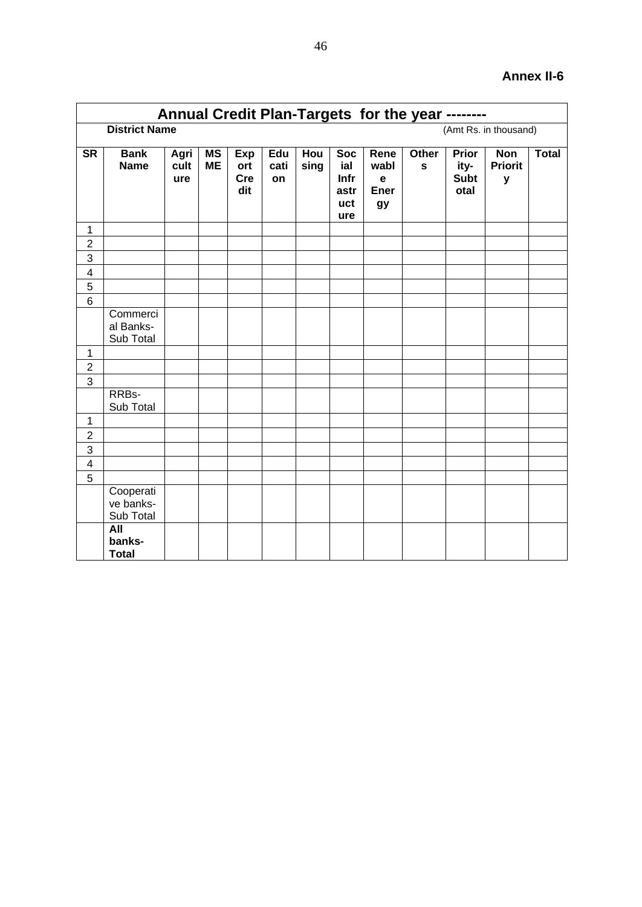|                         | Annual Credit Plan-Targets for the year -------- |                     |                        |                                 |                   |             |                                          |                                                  |                      |                                      |                                   |              |  |
|-------------------------|--------------------------------------------------|---------------------|------------------------|---------------------------------|-------------------|-------------|------------------------------------------|--------------------------------------------------|----------------------|--------------------------------------|-----------------------------------|--------------|--|
|                         | <b>District Name</b><br>(Amt Rs. in thousand)    |                     |                        |                                 |                   |             |                                          |                                                  |                      |                                      |                                   |              |  |
| <b>SR</b>               | <b>Bank</b><br><b>Name</b>                       | Agri<br>cult<br>ure | <b>MS</b><br><b>ME</b> | Exp<br>ort<br><b>Cre</b><br>dit | Edu<br>cati<br>on | Hou<br>sing | Soc<br>ial<br>Infr<br>astr<br>uct<br>ure | Rene<br>wabl<br>$\mathbf e$<br><b>Ener</b><br>gy | Other<br>$\mathbf s$ | Prior<br>ity-<br><b>Subt</b><br>otal | <b>Non</b><br><b>Priorit</b><br>y | <b>Total</b> |  |
| $\mathbf{1}$            |                                                  |                     |                        |                                 |                   |             |                                          |                                                  |                      |                                      |                                   |              |  |
| $\overline{2}$          |                                                  |                     |                        |                                 |                   |             |                                          |                                                  |                      |                                      |                                   |              |  |
| $\overline{3}$          |                                                  |                     |                        |                                 |                   |             |                                          |                                                  |                      |                                      |                                   |              |  |
| $\overline{\mathbf{4}}$ |                                                  |                     |                        |                                 |                   |             |                                          |                                                  |                      |                                      |                                   |              |  |
| 5<br>$6\phantom{1}$     |                                                  |                     |                        |                                 |                   |             |                                          |                                                  |                      |                                      |                                   |              |  |
|                         | Commerci<br>al Banks-<br>Sub Total               |                     |                        |                                 |                   |             |                                          |                                                  |                      |                                      |                                   |              |  |
| $\mathbf{1}$            |                                                  |                     |                        |                                 |                   |             |                                          |                                                  |                      |                                      |                                   |              |  |
| $\overline{2}$          |                                                  |                     |                        |                                 |                   |             |                                          |                                                  |                      |                                      |                                   |              |  |
| 3                       |                                                  |                     |                        |                                 |                   |             |                                          |                                                  |                      |                                      |                                   |              |  |
|                         | RRBs-<br>Sub Total                               |                     |                        |                                 |                   |             |                                          |                                                  |                      |                                      |                                   |              |  |
| $\mathbf{1}$            |                                                  |                     |                        |                                 |                   |             |                                          |                                                  |                      |                                      |                                   |              |  |
| $\overline{2}$          |                                                  |                     |                        |                                 |                   |             |                                          |                                                  |                      |                                      |                                   |              |  |
| $\overline{3}$          |                                                  |                     |                        |                                 |                   |             |                                          |                                                  |                      |                                      |                                   |              |  |
| $\overline{\mathbf{4}}$ |                                                  |                     |                        |                                 |                   |             |                                          |                                                  |                      |                                      |                                   |              |  |
| $\overline{5}$          |                                                  |                     |                        |                                 |                   |             |                                          |                                                  |                      |                                      |                                   |              |  |
|                         | Cooperati<br>ve banks-<br>Sub Total              |                     |                        |                                 |                   |             |                                          |                                                  |                      |                                      |                                   |              |  |
|                         | All<br>banks-<br><b>Total</b>                    |                     |                        |                                 |                   |             |                                          |                                                  |                      |                                      |                                   |              |  |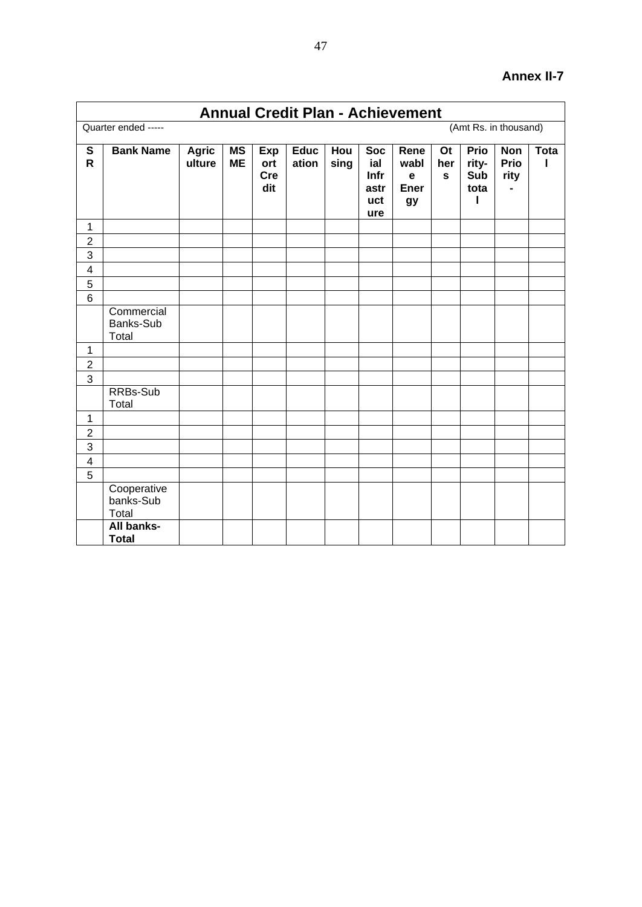|                               |                                   |                        |                 |                          | <b>Annual Credit Plan - Achievement</b> |             |                                                 |                                                  |                                  |                                          |                                   |             |
|-------------------------------|-----------------------------------|------------------------|-----------------|--------------------------|-----------------------------------------|-------------|-------------------------------------------------|--------------------------------------------------|----------------------------------|------------------------------------------|-----------------------------------|-------------|
|                               | Quarter ended -----               |                        |                 |                          |                                         |             |                                                 |                                                  |                                  |                                          | (Amt Rs. in thousand)             |             |
| ${\mathbb S}$<br>$\mathsf{R}$ | <b>Bank Name</b>                  | <b>Agric</b><br>ulture | MS<br><b>ME</b> | Exp<br>ort<br>Cre<br>dit | <b>Educ</b><br>ation                    | Hou<br>sing | <b>Soc</b><br>ial<br>Infr<br>astr<br>uct<br>ure | Rene<br>wabl<br>$\mathbf e$<br><b>Ener</b><br>gy | <b>Ot</b><br>her<br>$\mathbf{s}$ | <b>Prio</b><br>rity-<br>Sub<br>tota<br>ı | <b>Non</b><br><b>Prio</b><br>rity | <b>Tota</b> |
| 1                             |                                   |                        |                 |                          |                                         |             |                                                 |                                                  |                                  |                                          |                                   |             |
| $\overline{2}$                |                                   |                        |                 |                          |                                         |             |                                                 |                                                  |                                  |                                          |                                   |             |
| $\overline{3}$                |                                   |                        |                 |                          |                                         |             |                                                 |                                                  |                                  |                                          |                                   |             |
| $\overline{\mathbf{4}}$       |                                   |                        |                 |                          |                                         |             |                                                 |                                                  |                                  |                                          |                                   |             |
| 5                             |                                   |                        |                 |                          |                                         |             |                                                 |                                                  |                                  |                                          |                                   |             |
| $6\phantom{1}$                |                                   |                        |                 |                          |                                         |             |                                                 |                                                  |                                  |                                          |                                   |             |
|                               | Commercial<br>Banks-Sub<br>Total  |                        |                 |                          |                                         |             |                                                 |                                                  |                                  |                                          |                                   |             |
| 1                             |                                   |                        |                 |                          |                                         |             |                                                 |                                                  |                                  |                                          |                                   |             |
| $\overline{2}$                |                                   |                        |                 |                          |                                         |             |                                                 |                                                  |                                  |                                          |                                   |             |
| 3                             |                                   |                        |                 |                          |                                         |             |                                                 |                                                  |                                  |                                          |                                   |             |
|                               | RRBs-Sub<br>Total                 |                        |                 |                          |                                         |             |                                                 |                                                  |                                  |                                          |                                   |             |
| 1                             |                                   |                        |                 |                          |                                         |             |                                                 |                                                  |                                  |                                          |                                   |             |
| $\overline{c}$                |                                   |                        |                 |                          |                                         |             |                                                 |                                                  |                                  |                                          |                                   |             |
| $\overline{3}$                |                                   |                        |                 |                          |                                         |             |                                                 |                                                  |                                  |                                          |                                   |             |
| $\overline{\mathbf{4}}$       |                                   |                        |                 |                          |                                         |             |                                                 |                                                  |                                  |                                          |                                   |             |
| 5                             |                                   |                        |                 |                          |                                         |             |                                                 |                                                  |                                  |                                          |                                   |             |
|                               | Cooperative<br>banks-Sub<br>Total |                        |                 |                          |                                         |             |                                                 |                                                  |                                  |                                          |                                   |             |
|                               | All banks-<br><b>Total</b>        |                        |                 |                          |                                         |             |                                                 |                                                  |                                  |                                          |                                   |             |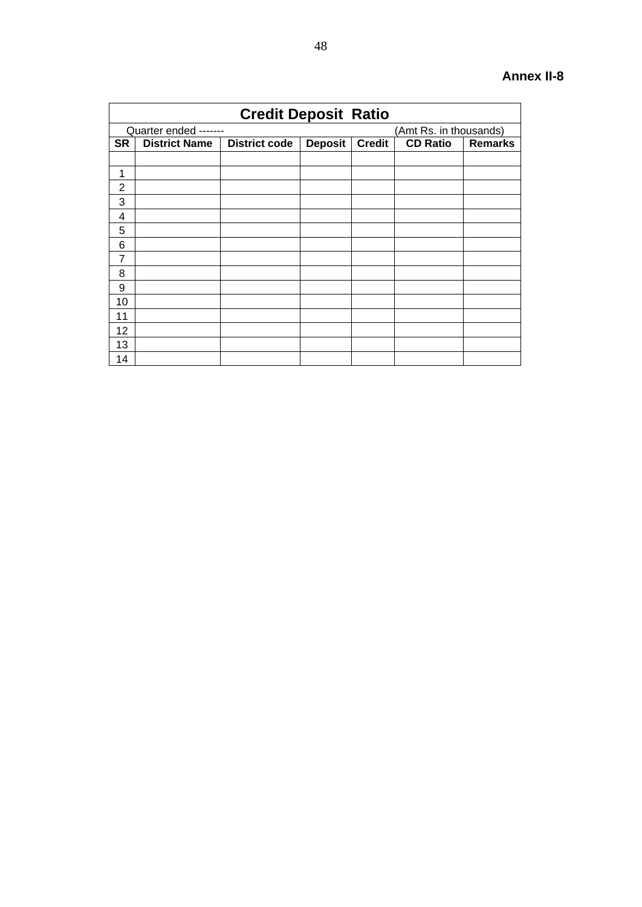|                |                       | <b>Credit Deposit Ratio</b> |                |               |                        |                |
|----------------|-----------------------|-----------------------------|----------------|---------------|------------------------|----------------|
|                | Quarter ended ------- |                             |                |               | (Amt Rs. in thousands) |                |
| <b>SR</b>      | <b>District Name</b>  | <b>District code</b>        | <b>Deposit</b> | <b>Credit</b> | <b>CD Ratio</b>        | <b>Remarks</b> |
|                |                       |                             |                |               |                        |                |
| 1              |                       |                             |                |               |                        |                |
| $\overline{2}$ |                       |                             |                |               |                        |                |
| 3              |                       |                             |                |               |                        |                |
| 4              |                       |                             |                |               |                        |                |
| 5              |                       |                             |                |               |                        |                |
| 6              |                       |                             |                |               |                        |                |
| $\overline{7}$ |                       |                             |                |               |                        |                |
| 8              |                       |                             |                |               |                        |                |
| 9              |                       |                             |                |               |                        |                |
| 10             |                       |                             |                |               |                        |                |
| 11             |                       |                             |                |               |                        |                |
| 12             |                       |                             |                |               |                        |                |
| 13             |                       |                             |                |               |                        |                |
| 14             |                       |                             |                |               |                        |                |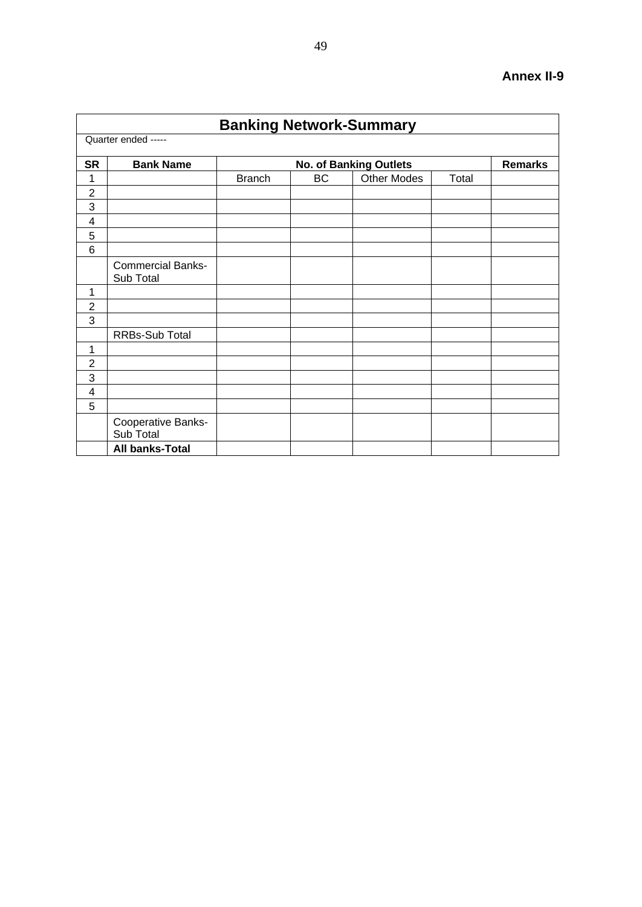|                |                                       | <b>Banking Network-Summary</b> |    |                               |       |                |
|----------------|---------------------------------------|--------------------------------|----|-------------------------------|-------|----------------|
|                | Quarter ended -----                   |                                |    |                               |       |                |
| <b>SR</b>      | <b>Bank Name</b>                      |                                |    | <b>No. of Banking Outlets</b> |       | <b>Remarks</b> |
| 1              |                                       | <b>Branch</b>                  | BC | <b>Other Modes</b>            | Total |                |
| $\overline{2}$ |                                       |                                |    |                               |       |                |
| 3              |                                       |                                |    |                               |       |                |
| 4              |                                       |                                |    |                               |       |                |
| 5              |                                       |                                |    |                               |       |                |
| 6              |                                       |                                |    |                               |       |                |
|                | <b>Commercial Banks-</b><br>Sub Total |                                |    |                               |       |                |
| 1              |                                       |                                |    |                               |       |                |
| $\overline{2}$ |                                       |                                |    |                               |       |                |
| 3              |                                       |                                |    |                               |       |                |
|                | RRBs-Sub Total                        |                                |    |                               |       |                |
| 1              |                                       |                                |    |                               |       |                |
| $\overline{2}$ |                                       |                                |    |                               |       |                |
| 3              |                                       |                                |    |                               |       |                |
| 4              |                                       |                                |    |                               |       |                |
| 5              |                                       |                                |    |                               |       |                |
|                | Cooperative Banks-<br>Sub Total       |                                |    |                               |       |                |
|                | <b>All banks-Total</b>                |                                |    |                               |       |                |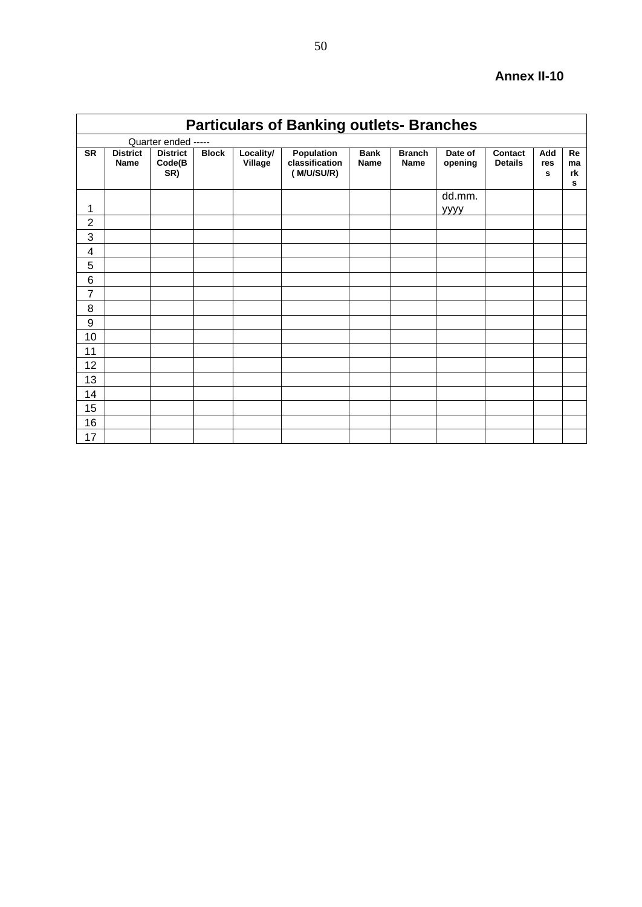|                |                                |                                  |              |                      | <b>Particulars of Banking outlets- Branches</b> |                            |                              |                    |                                  |                 |                            |
|----------------|--------------------------------|----------------------------------|--------------|----------------------|-------------------------------------------------|----------------------------|------------------------------|--------------------|----------------------------------|-----------------|----------------------------|
|                |                                | Quarter ended -----              |              |                      |                                                 |                            |                              |                    |                                  |                 |                            |
| <b>SR</b>      | <b>District</b><br><b>Name</b> | <b>District</b><br>Code(B<br>SR) | <b>Block</b> | Locality/<br>Village | Population<br>classification<br>(M/U/SU/R)      | <b>Bank</b><br><b>Name</b> | <b>Branch</b><br><b>Name</b> | Date of<br>opening | <b>Contact</b><br><b>Details</b> | Add<br>res<br>s | <b>Re</b><br>ma<br>rk<br>s |
| 1              |                                |                                  |              |                      |                                                 |                            |                              | dd.mm.<br>уууу     |                                  |                 |                            |
| $\overline{2}$ |                                |                                  |              |                      |                                                 |                            |                              |                    |                                  |                 |                            |
| 3              |                                |                                  |              |                      |                                                 |                            |                              |                    |                                  |                 |                            |
| 4              |                                |                                  |              |                      |                                                 |                            |                              |                    |                                  |                 |                            |
| 5              |                                |                                  |              |                      |                                                 |                            |                              |                    |                                  |                 |                            |
| 6              |                                |                                  |              |                      |                                                 |                            |                              |                    |                                  |                 |                            |
| $\overline{7}$ |                                |                                  |              |                      |                                                 |                            |                              |                    |                                  |                 |                            |
| 8              |                                |                                  |              |                      |                                                 |                            |                              |                    |                                  |                 |                            |
| 9              |                                |                                  |              |                      |                                                 |                            |                              |                    |                                  |                 |                            |
| 10             |                                |                                  |              |                      |                                                 |                            |                              |                    |                                  |                 |                            |
| 11             |                                |                                  |              |                      |                                                 |                            |                              |                    |                                  |                 |                            |
| 12             |                                |                                  |              |                      |                                                 |                            |                              |                    |                                  |                 |                            |
| 13             |                                |                                  |              |                      |                                                 |                            |                              |                    |                                  |                 |                            |
| 14             |                                |                                  |              |                      |                                                 |                            |                              |                    |                                  |                 |                            |
| 15             |                                |                                  |              |                      |                                                 |                            |                              |                    |                                  |                 |                            |
| 16             |                                |                                  |              |                      |                                                 |                            |                              |                    |                                  |                 |                            |
| 17             |                                |                                  |              |                      |                                                 |                            |                              |                    |                                  |                 |                            |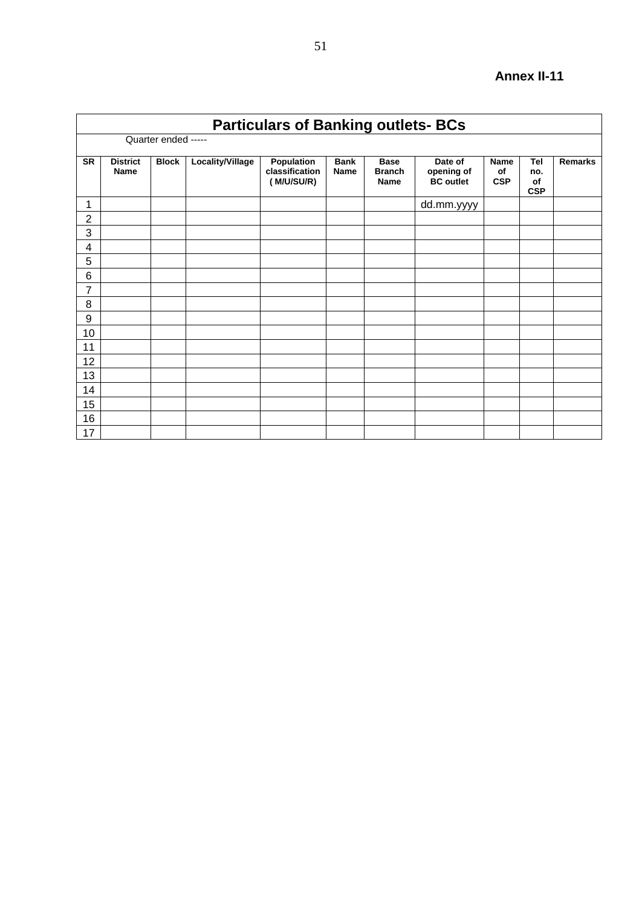|                | <b>Particulars of Banking outlets- BCs</b> |              |                  |                                            |                            |                                             |                                           |                                 |                                |                |  |  |
|----------------|--------------------------------------------|--------------|------------------|--------------------------------------------|----------------------------|---------------------------------------------|-------------------------------------------|---------------------------------|--------------------------------|----------------|--|--|
|                | Quarter ended -----                        |              |                  |                                            |                            |                                             |                                           |                                 |                                |                |  |  |
| <b>SR</b>      | <b>District</b><br><b>Name</b>             | <b>Block</b> | Locality/Village | Population<br>classification<br>(M/U/SU/R) | <b>Bank</b><br><b>Name</b> | <b>Base</b><br><b>Branch</b><br><b>Name</b> | Date of<br>opening of<br><b>BC</b> outlet | <b>Name</b><br>of<br><b>CSP</b> | Tel<br>no.<br>of<br><b>CSP</b> | <b>Remarks</b> |  |  |
| 1              |                                            |              |                  |                                            |                            |                                             | dd.mm.yyyy                                |                                 |                                |                |  |  |
| $\overline{2}$ |                                            |              |                  |                                            |                            |                                             |                                           |                                 |                                |                |  |  |
| 3              |                                            |              |                  |                                            |                            |                                             |                                           |                                 |                                |                |  |  |
| 4              |                                            |              |                  |                                            |                            |                                             |                                           |                                 |                                |                |  |  |
| 5              |                                            |              |                  |                                            |                            |                                             |                                           |                                 |                                |                |  |  |
| 6              |                                            |              |                  |                                            |                            |                                             |                                           |                                 |                                |                |  |  |
| 7              |                                            |              |                  |                                            |                            |                                             |                                           |                                 |                                |                |  |  |
| 8              |                                            |              |                  |                                            |                            |                                             |                                           |                                 |                                |                |  |  |
| 9              |                                            |              |                  |                                            |                            |                                             |                                           |                                 |                                |                |  |  |
| 10             |                                            |              |                  |                                            |                            |                                             |                                           |                                 |                                |                |  |  |
| 11             |                                            |              |                  |                                            |                            |                                             |                                           |                                 |                                |                |  |  |
| 12             |                                            |              |                  |                                            |                            |                                             |                                           |                                 |                                |                |  |  |
| 13             |                                            |              |                  |                                            |                            |                                             |                                           |                                 |                                |                |  |  |
| 14             |                                            |              |                  |                                            |                            |                                             |                                           |                                 |                                |                |  |  |
| 15             |                                            |              |                  |                                            |                            |                                             |                                           |                                 |                                |                |  |  |
| 16             |                                            |              |                  |                                            |                            |                                             |                                           |                                 |                                |                |  |  |
| 17             |                                            |              |                  |                                            |                            |                                             |                                           |                                 |                                |                |  |  |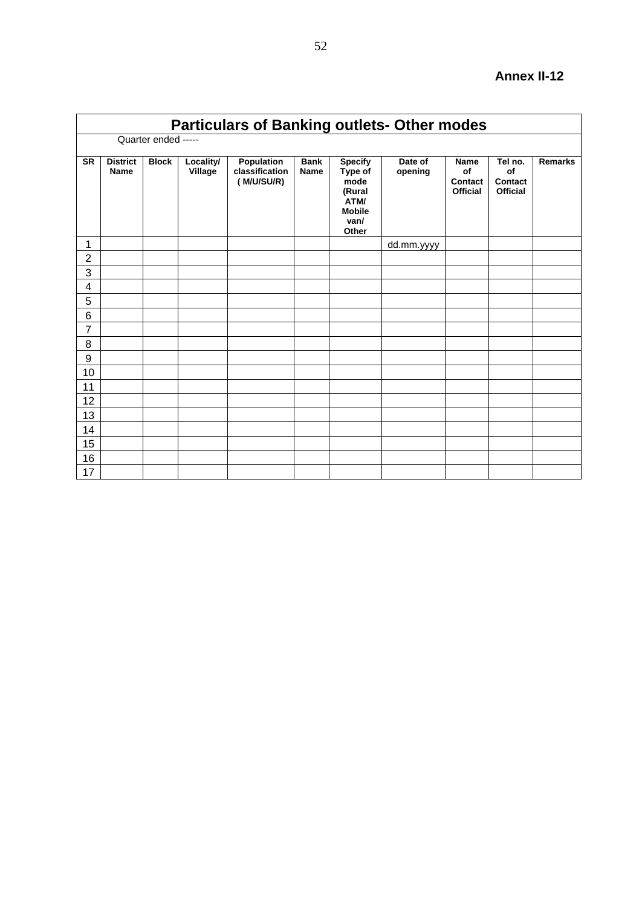| <b>Particulars of Banking outlets- Other modes</b> |                         |              |                      |                                            |                            |                                                                                       |                    |                                                        |                                                    |                |  |
|----------------------------------------------------|-------------------------|--------------|----------------------|--------------------------------------------|----------------------------|---------------------------------------------------------------------------------------|--------------------|--------------------------------------------------------|----------------------------------------------------|----------------|--|
|                                                    | Quarter ended -----     |              |                      |                                            |                            |                                                                                       |                    |                                                        |                                                    |                |  |
| <b>SR</b>                                          | <b>District</b><br>Name | <b>Block</b> | Locality/<br>Village | Population<br>classification<br>(M/U/SU/R) | <b>Bank</b><br><b>Name</b> | <b>Specify</b><br>Type of<br>mode<br>(Rural<br>ATM/<br><b>Mobile</b><br>van/<br>Other | Date of<br>opening | <b>Name</b><br>of<br><b>Contact</b><br><b>Official</b> | Tel no.<br>of<br><b>Contact</b><br><b>Official</b> | <b>Remarks</b> |  |
| 1                                                  |                         |              |                      |                                            |                            |                                                                                       | dd.mm.yyyy         |                                                        |                                                    |                |  |
| $\overline{2}$                                     |                         |              |                      |                                            |                            |                                                                                       |                    |                                                        |                                                    |                |  |
| 3                                                  |                         |              |                      |                                            |                            |                                                                                       |                    |                                                        |                                                    |                |  |
| 4                                                  |                         |              |                      |                                            |                            |                                                                                       |                    |                                                        |                                                    |                |  |
| 5                                                  |                         |              |                      |                                            |                            |                                                                                       |                    |                                                        |                                                    |                |  |
| 6                                                  |                         |              |                      |                                            |                            |                                                                                       |                    |                                                        |                                                    |                |  |
| $\overline{7}$                                     |                         |              |                      |                                            |                            |                                                                                       |                    |                                                        |                                                    |                |  |
| 8                                                  |                         |              |                      |                                            |                            |                                                                                       |                    |                                                        |                                                    |                |  |
| 9                                                  |                         |              |                      |                                            |                            |                                                                                       |                    |                                                        |                                                    |                |  |
| 10                                                 |                         |              |                      |                                            |                            |                                                                                       |                    |                                                        |                                                    |                |  |
| 11                                                 |                         |              |                      |                                            |                            |                                                                                       |                    |                                                        |                                                    |                |  |
| 12                                                 |                         |              |                      |                                            |                            |                                                                                       |                    |                                                        |                                                    |                |  |
| 13                                                 |                         |              |                      |                                            |                            |                                                                                       |                    |                                                        |                                                    |                |  |
| 14                                                 |                         |              |                      |                                            |                            |                                                                                       |                    |                                                        |                                                    |                |  |
| 15                                                 |                         |              |                      |                                            |                            |                                                                                       |                    |                                                        |                                                    |                |  |
| 16                                                 |                         |              |                      |                                            |                            |                                                                                       |                    |                                                        |                                                    |                |  |
| 17                                                 |                         |              |                      |                                            |                            |                                                                                       |                    |                                                        |                                                    |                |  |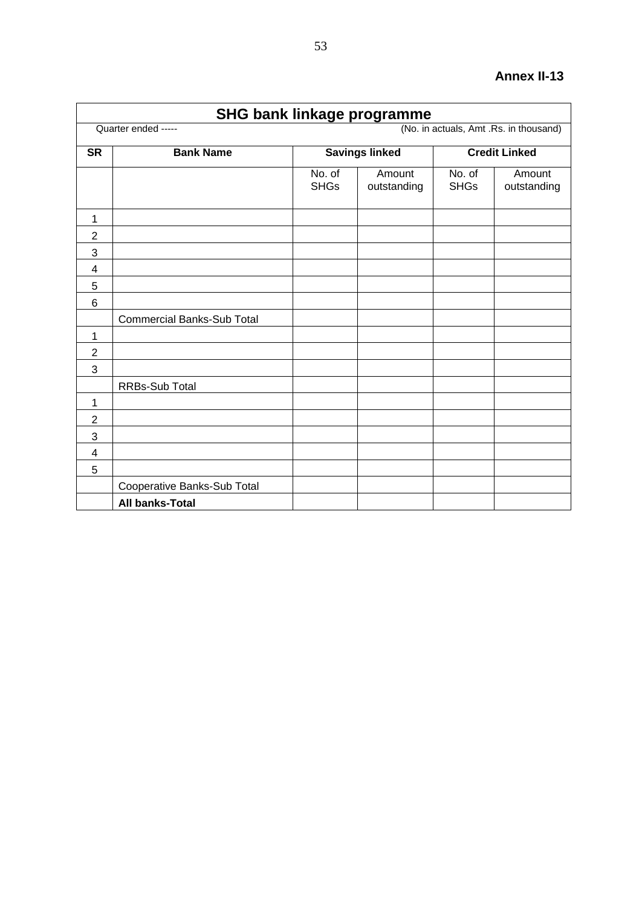| <b>SHG bank linkage programme</b>                             |                                    |                       |                       |                       |                       |  |  |  |  |  |
|---------------------------------------------------------------|------------------------------------|-----------------------|-----------------------|-----------------------|-----------------------|--|--|--|--|--|
| (No. in actuals, Amt .Rs. in thousand)<br>Quarter ended ----- |                                    |                       |                       |                       |                       |  |  |  |  |  |
| <b>SR</b>                                                     | <b>Bank Name</b>                   |                       | <b>Savings linked</b> | <b>Credit Linked</b>  |                       |  |  |  |  |  |
|                                                               |                                    | No. of<br><b>SHGs</b> | Amount<br>outstanding | No. of<br><b>SHGs</b> | Amount<br>outstanding |  |  |  |  |  |
| 1                                                             |                                    |                       |                       |                       |                       |  |  |  |  |  |
| $\sqrt{2}$                                                    |                                    |                       |                       |                       |                       |  |  |  |  |  |
| 3                                                             |                                    |                       |                       |                       |                       |  |  |  |  |  |
| $\overline{4}$                                                |                                    |                       |                       |                       |                       |  |  |  |  |  |
| 5                                                             |                                    |                       |                       |                       |                       |  |  |  |  |  |
| $6\phantom{1}6$                                               |                                    |                       |                       |                       |                       |  |  |  |  |  |
|                                                               | <b>Commercial Banks-Sub Total</b>  |                       |                       |                       |                       |  |  |  |  |  |
| $\mathbf{1}$                                                  |                                    |                       |                       |                       |                       |  |  |  |  |  |
| $\overline{2}$                                                |                                    |                       |                       |                       |                       |  |  |  |  |  |
| 3                                                             |                                    |                       |                       |                       |                       |  |  |  |  |  |
|                                                               | RRBs-Sub Total                     |                       |                       |                       |                       |  |  |  |  |  |
| 1                                                             |                                    |                       |                       |                       |                       |  |  |  |  |  |
| $\overline{2}$                                                |                                    |                       |                       |                       |                       |  |  |  |  |  |
| 3                                                             |                                    |                       |                       |                       |                       |  |  |  |  |  |
| $\overline{4}$                                                |                                    |                       |                       |                       |                       |  |  |  |  |  |
| 5                                                             |                                    |                       |                       |                       |                       |  |  |  |  |  |
|                                                               | <b>Cooperative Banks-Sub Total</b> |                       |                       |                       |                       |  |  |  |  |  |
|                                                               | <b>All banks-Total</b>             |                       |                       |                       |                       |  |  |  |  |  |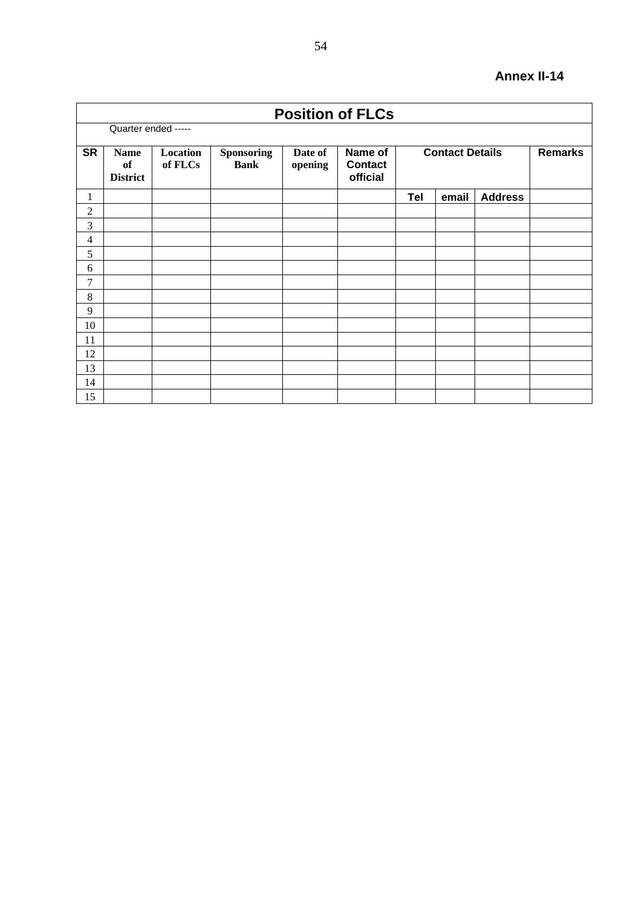| <b>Position of FLCs</b> |                                      |                     |                                  |                    |                                       |            |                        |                |  |  |
|-------------------------|--------------------------------------|---------------------|----------------------------------|--------------------|---------------------------------------|------------|------------------------|----------------|--|--|
| Quarter ended -----     |                                      |                     |                                  |                    |                                       |            |                        |                |  |  |
| <b>SR</b>               | <b>Name</b><br>of<br><b>District</b> | Location<br>of FLCs | <b>Sponsoring</b><br><b>Bank</b> | Date of<br>opening | Name of<br><b>Contact</b><br>official |            | <b>Contact Details</b> | <b>Remarks</b> |  |  |
| 1                       |                                      |                     |                                  |                    |                                       | <b>Tel</b> | email                  | <b>Address</b> |  |  |
| $\overline{c}$          |                                      |                     |                                  |                    |                                       |            |                        |                |  |  |
| $\mathfrak{Z}$          |                                      |                     |                                  |                    |                                       |            |                        |                |  |  |
| 4                       |                                      |                     |                                  |                    |                                       |            |                        |                |  |  |
| 5                       |                                      |                     |                                  |                    |                                       |            |                        |                |  |  |
| 6                       |                                      |                     |                                  |                    |                                       |            |                        |                |  |  |
| 7                       |                                      |                     |                                  |                    |                                       |            |                        |                |  |  |
| $\,$ 8 $\,$             |                                      |                     |                                  |                    |                                       |            |                        |                |  |  |
| 9                       |                                      |                     |                                  |                    |                                       |            |                        |                |  |  |
| 10                      |                                      |                     |                                  |                    |                                       |            |                        |                |  |  |
| 11                      |                                      |                     |                                  |                    |                                       |            |                        |                |  |  |
| 12                      |                                      |                     |                                  |                    |                                       |            |                        |                |  |  |
| 13                      |                                      |                     |                                  |                    |                                       |            |                        |                |  |  |
| 14                      |                                      |                     |                                  |                    |                                       |            |                        |                |  |  |
| 15                      |                                      |                     |                                  |                    |                                       |            |                        |                |  |  |